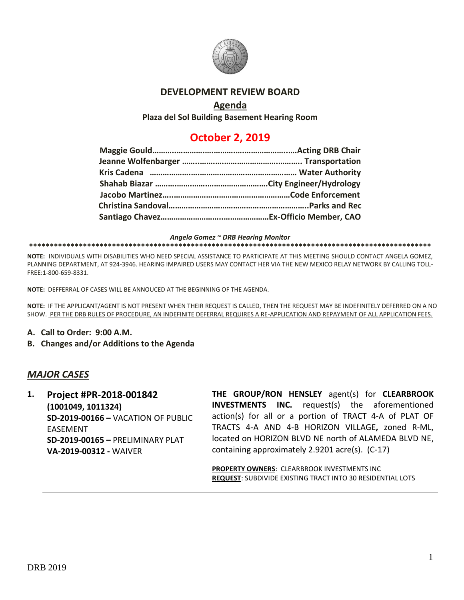

#### **DEVELOPMENT REVIEW BOARD**

### **Agenda**

**Plaza del Sol Building Basement Hearing Room**

# **October 2, 2019**

*Angela Gomez ~ DRB Hearing Monitor*

#### **\*\*\*\*\*\*\*\*\*\*\*\*\*\*\*\*\*\*\*\*\*\*\*\*\*\*\*\*\*\*\*\*\*\*\*\*\*\*\*\*\*\*\*\*\*\*\*\*\*\*\*\*\*\*\*\*\*\*\*\*\*\*\*\*\*\*\*\*\*\*\*\*\*\*\*\*\*\*\*\*\*\*\*\*\*\*\*\*\*\*\*\*\*\*\*\*\***

**NOTE:** INDIVIDUALS WITH DISABILITIES WHO NEED SPECIAL ASSISTANCE TO PARTICIPATE AT THIS MEETING SHOULD CONTACT ANGELA GOMEZ, PLANNING DEPARTMENT, AT 924-3946. HEARING IMPAIRED USERS MAY CONTACT HER VIA THE NEW MEXICO RELAY NETWORK BY CALLING TOLL-FREE:1-800-659-8331.

**NOTE:** DEFFERRAL OF CASES WILL BE ANNOUCED AT THE BEGINNING OF THE AGENDA.

**NOTE:** IF THE APPLICANT/AGENT IS NOT PRESENT WHEN THEIR REQUEST IS CALLED, THEN THE REQUEST MAY BE INDEFINITELY DEFERRED ON A NO SHOW. PER THE DRB RULES OF PROCEDURE, AN INDEFINITE DEFERRAL REQUIRES A RE-APPLICATION AND REPAYMENT OF ALL APPLICATION FEES.

- **A. Call to Order: 9:00 A.M.**
- **B. Changes and/or Additions to the Agenda**

#### *MAJOR CASES*

**1. Project #PR-2018-001842 (1001049, 1011324) SD-2019-00166 –** VACATION OF PUBLIC EASEMENT **SD-2019-00165 –** PRELIMINARY PLAT **VA-2019-00312 -** WAIVER

**THE GROUP/RON HENSLEY** agent(s) for **CLEARBROOK INVESTMENTS INC.** request(s) the aforementioned action(s) for all or a portion of TRACT 4-A of PLAT OF TRACTS 4-A AND 4-B HORIZON VILLAGE**,** zoned R-ML, located on HORIZON BLVD NE north of ALAMEDA BLVD NE, containing approximately 2.9201 acre(s). (C-17)

**PROPERTY OWNERS**: CLEARBROOK INVESTMENTS INC **REQUEST**: SUBDIVIDE EXISTING TRACT INTO 30 RESIDENTIAL LOTS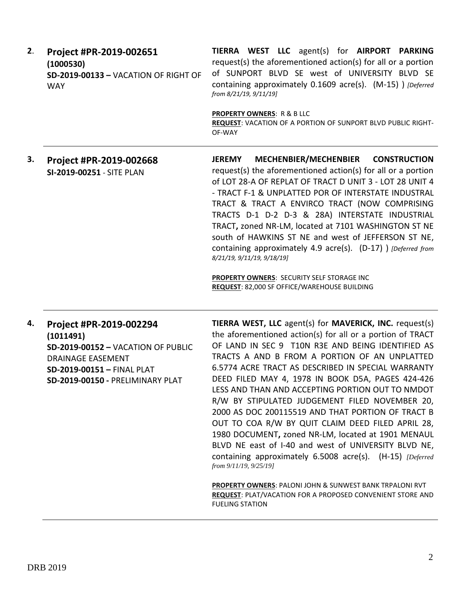| 2. | Project #PR-2019-002651              | <b>TIERRA WEST LLC</b> agent(s) for <b>AIRPORT PARKING</b>                             |  |
|----|--------------------------------------|----------------------------------------------------------------------------------------|--|
|    | (1000530)                            | request(s) the aforementioned action(s) for all or a portion                           |  |
|    | SD-2019-00133 - VACATION OF RIGHT OF | of SUNPORT BLVD SE west of UNIVERSITY BLVD SE                                          |  |
|    | <b>WAY</b>                           | containing approximately 0.1609 acre(s). (M-15) ) [Deferred]<br>from 8/21/19, 9/11/19] |  |
|    |                                      | <b>PROPERTY OWNERS: R &amp; B LLC</b>                                                  |  |
|    |                                      | <b>REQUEST: VACATION OF A PORTION OF SUNPORT BLVD PUBLIC RIGHT-</b>                    |  |
|    |                                      | OF-WAY                                                                                 |  |

**3. Project #PR-2019-002668 SI-2019-00251** - SITE PLAN **JEREMY MECHENBIER/MECHENBIER CONSTRUCTION** request(s) the aforementioned action(s) for all or a portion of LOT 28-A OF REPLAT OF TRACT D UNIT 3 - LOT 28 UNIT 4 - TRACT F-1 & UNPLATTED POR OF INTERSTATE INDUSTRAL TRACT & TRACT A ENVIRCO TRACT (NOW COMPRISING TRACTS D-1 D-2 D-3 & 28A) INTERSTATE INDUSTRIAL TRACT**,** zoned NR-LM, located at 7101 WASHINGTON ST NE south of HAWKINS ST NE and west of JEFFERSON ST NE, containing approximately 4.9 acre(s). (D-17) ) *[Deferred from 8/21/19, 9/11/19, 9/18/19]*

> **PROPERTY OWNERS**: SECURITY SELF STORAGE INC **REQUEST**: 82,000 SF OFFICE/WAREHOUSE BUILDING

## **4. Project #PR-2019-002294 (1011491) SD-2019-00152 –** VACATION OF PUBLIC DRAINAGE EASEMENT **SD-2019-00151 –** FINAL PLAT **SD-2019-00150 -** PRELIMINARY PLAT

**TIERRA WEST, LLC** agent(s) for **MAVERICK, INC.** request(s) the aforementioned action(s) for all or a portion of TRACT OF LAND IN SEC 9 T10N R3E AND BEING IDENTIFIED AS TRACTS A AND B FROM A PORTION OF AN UNPLATTED 6.5774 ACRE TRACT AS DESCRIBED IN SPECIAL WARRANTY DEED FILED MAY 4, 1978 IN BOOK D5A, PAGES 424-426 LESS AND THAN AND ACCEPTING PORTION OUT TO NMDOT R/W BY STIPULATED JUDGEMENT FILED NOVEMBER 20, 2000 AS DOC 200115519 AND THAT PORTION OF TRACT B OUT TO COA R/W BY QUIT CLAIM DEED FILED APRIL 28, 1980 DOCUMENT**,** zoned NR-LM, located at 1901 MENAUL BLVD NE east of I-40 and west of UNIVERSITY BLVD NE, containing approximately 6.5008 acre(s). (H-15) *[Deferred from 9/11/19, 9/25/19]*

**PROPERTY OWNERS**: PALONI JOHN & SUNWEST BANK TRPALONI RVT **REQUEST**: PLAT/VACATION FOR A PROPOSED CONVENIENT STORE AND FUELING STATION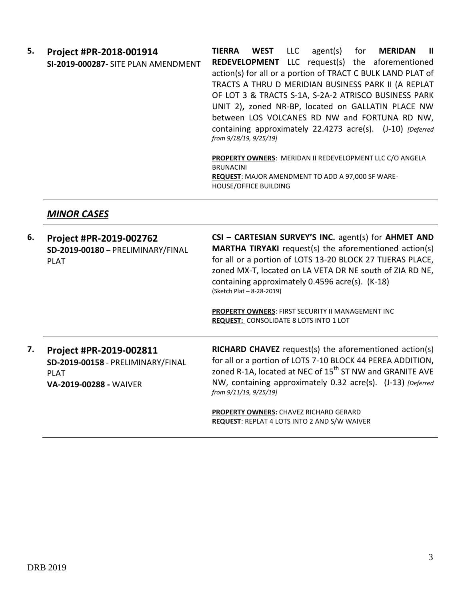**5. Project #PR-2018-001914 SI-2019-000287-** SITE PLAN AMENDMENT **TIERRA WEST** LLC agent(s) for **MERIDAN II REDEVELOPMENT** LLC request(s) the aforementioned action(s) for all or a portion of TRACT C BULK LAND PLAT of TRACTS A THRU D MERIDIAN BUSINESS PARK II (A REPLAT OF LOT 3 & TRACTS S-1A, S-2A-2 ATRISCO BUSINESS PARK UNIT 2)**,** zoned NR-BP, located on GALLATIN PLACE NW between LOS VOLCANES RD NW and FORTUNA RD NW, containing approximately 22.4273 acre(s). (J-10) *[Deferred from 9/18/19, 9/25/19]*

**PROPERTY OWNERS**: MERIDAN II REDEVELOPMENT LLC C/O ANGELA BRUNACINI **REQUEST**: MAJOR AMENDMENT TO ADD A 97,000 SF WARE-HOUSE/OFFICE BUILDING

#### *MINOR CASES*

| 6. | Project #PR-2019-002762<br>SD-2019-00180 - PRELIMINARY/FINAL<br><b>PLAT</b>                                  | CSI - CARTESIAN SURVEY'S INC. agent(s) for AHMET AND<br><b>MARTHA TIRYAKI</b> request(s) the aforementioned action(s)<br>for all or a portion of LOTS 13-20 BLOCK 27 TIJERAS PLACE,<br>zoned MX-T, located on LA VETA DR NE south of ZIA RD NE,<br>containing approximately 0.4596 acre(s). (K-18)<br>(Sketch Plat - 8-28-2019)<br><b>PROPERTY OWNERS: FIRST SECURITY II MANAGEMENT INC</b><br><b>REQUEST: CONSOLIDATE 8 LOTS INTO 1 LOT</b> |
|----|--------------------------------------------------------------------------------------------------------------|----------------------------------------------------------------------------------------------------------------------------------------------------------------------------------------------------------------------------------------------------------------------------------------------------------------------------------------------------------------------------------------------------------------------------------------------|
| 7. | Project #PR-2019-002811<br>SD-2019-00158 - PRELIMINARY/FINAL<br><b>PLAT</b><br><b>VA-2019-00288 - WAIVER</b> | RICHARD CHAVEZ request(s) the aforementioned action(s)<br>for all or a portion of LOTS 7-10 BLOCK 44 PEREA ADDITION,<br>zoned R-1A, located at NEC of 15 <sup>th</sup> ST NW and GRANITE AVE<br>NW, containing approximately 0.32 acre(s). (J-13) [Deferred]<br>from 9/11/19, 9/25/19]                                                                                                                                                       |
|    |                                                                                                              | <b>PROPERTY OWNERS: CHAVEZ RICHARD GERARD</b><br>REQUEST: REPLAT 4 LOTS INTO 2 AND S/W WAIVER                                                                                                                                                                                                                                                                                                                                                |